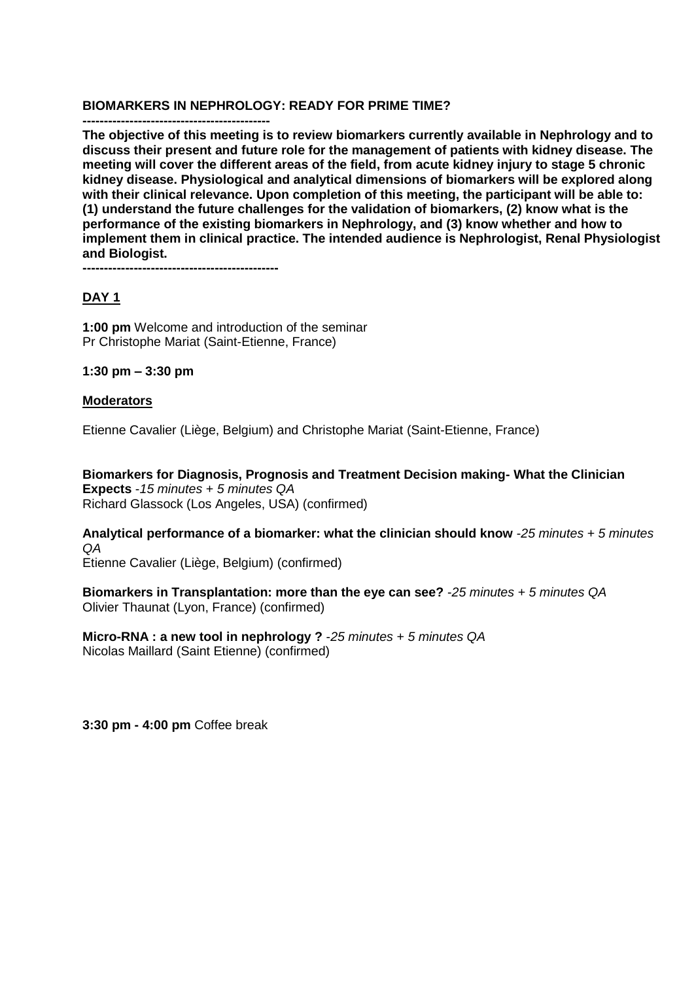### **BIOMARKERS IN NEPHROLOGY: READY FOR PRIME TIME?**

**-------------------------------------------- The objective of this meeting is to review biomarkers currently available in Nephrology and to discuss their present and future role for the management of patients with kidney disease. The meeting will cover the different areas of the field, from acute kidney injury to stage 5 chronic kidney disease. Physiological and analytical dimensions of biomarkers will be explored along with their clinical relevance. Upon completion of this meeting, the participant will be able to: (1) understand the future challenges for the validation of biomarkers, (2) know what is the performance of the existing biomarkers in Nephrology, and (3) know whether and how to implement them in clinical practice. The intended audience is Nephrologist, Renal Physiologist and Biologist.** 

**----------------------------------------------**

## **DAY 1**

**1:00 pm** Welcome and introduction of the seminar Pr Christophe Mariat (Saint-Etienne, France)

**1:30 pm – 3:30 pm** 

## **Moderators**

Etienne Cavalier (Liège, Belgium) and Christophe Mariat (Saint-Etienne, France)

**Biomarkers for Diagnosis, Prognosis and Treatment Decision making- What the Clinician Expects** -*15 minutes + 5 minutes QA*  Richard Glassock (Los Angeles, USA) (confirmed)

**Analytical performance of a biomarker: what the clinician should know** -*25 minutes + 5 minutes QA* 

Etienne Cavalier (Liège, Belgium) (confirmed)

**Biomarkers in Transplantation: more than the eye can see?** -*25 minutes + 5 minutes QA*  Olivier Thaunat (Lyon, France) (confirmed)

**Micro-RNA : a new tool in nephrology ?** -*25 minutes + 5 minutes QA* Nicolas Maillard (Saint Etienne) (confirmed)

**3:30 pm - 4:00 pm** Coffee break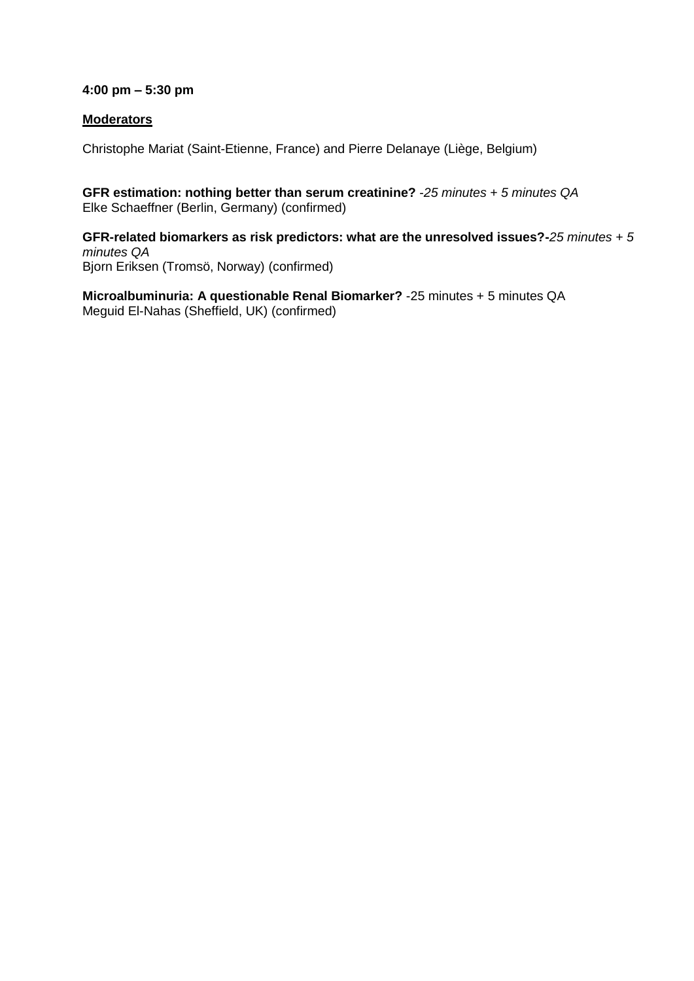## **4:00 pm – 5:30 pm**

## **Moderators**

Christophe Mariat (Saint-Etienne, France) and Pierre Delanaye (Liège, Belgium)

**GFR estimation: nothing better than serum creatinine?** -*25 minutes + 5 minutes QA*  Elke Schaeffner (Berlin, Germany) (confirmed)

**GFR-related biomarkers as risk predictors: what are the unresolved issues?-***25 minutes + 5 minutes QA*  Bjorn Eriksen (Tromsö, Norway) (confirmed)

**Microalbuminuria: A questionable Renal Biomarker?** -25 minutes + 5 minutes QA Meguid El-Nahas (Sheffield, UK) (confirmed)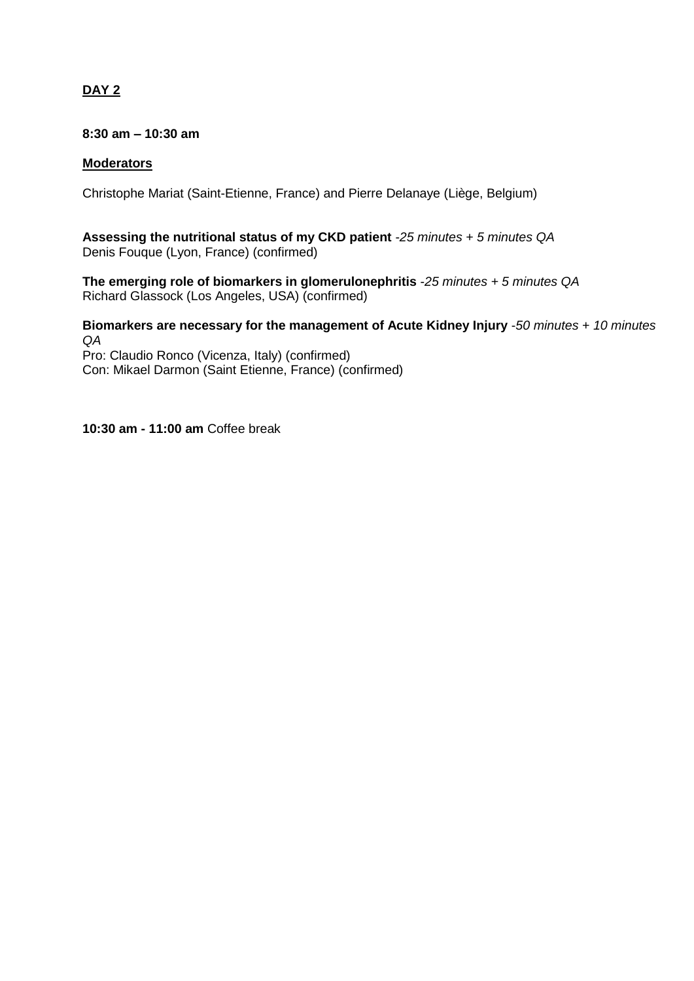# **DAY 2**

## **8:30 am – 10:30 am**

## **Moderators**

Christophe Mariat (Saint-Etienne, France) and Pierre Delanaye (Liège, Belgium)

**Assessing the nutritional status of my CKD patient** -*25 minutes + 5 minutes QA*  Denis Fouque (Lyon, France) (confirmed)

**The emerging role of biomarkers in glomerulonephritis** -*25 minutes + 5 minutes QA*  Richard Glassock (Los Angeles, USA) (confirmed)

**Biomarkers are necessary for the management of Acute Kidney Injury** -*50 minutes + 10 minutes QA* 

Pro: Claudio Ronco (Vicenza, Italy) (confirmed) Con: Mikael Darmon (Saint Etienne, France) (confirmed)

### **10:30 am - 11:00 am** Coffee break